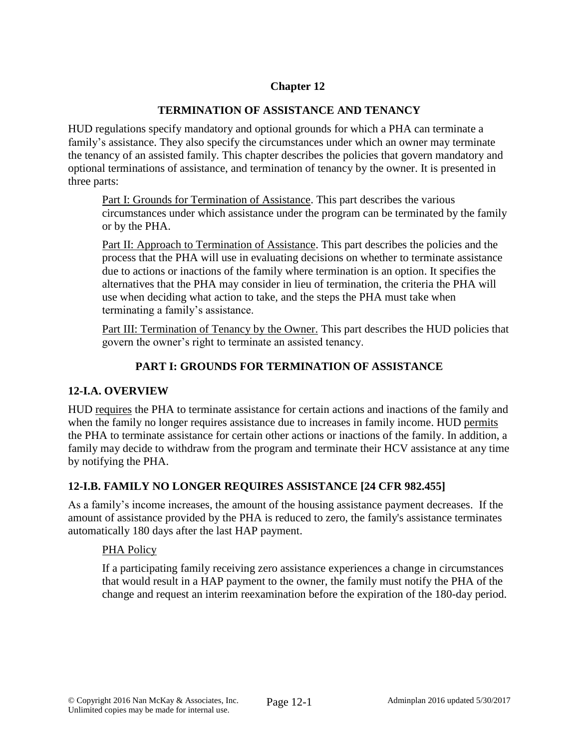# **Chapter 12**

### **TERMINATION OF ASSISTANCE AND TENANCY**

HUD regulations specify mandatory and optional grounds for which a PHA can terminate a family's assistance. They also specify the circumstances under which an owner may terminate the tenancy of an assisted family. This chapter describes the policies that govern mandatory and optional terminations of assistance, and termination of tenancy by the owner. It is presented in three parts:

Part I: Grounds for Termination of Assistance. This part describes the various circumstances under which assistance under the program can be terminated by the family or by the PHA.

Part II: Approach to Termination of Assistance. This part describes the policies and the process that the PHA will use in evaluating decisions on whether to terminate assistance due to actions or inactions of the family where termination is an option. It specifies the alternatives that the PHA may consider in lieu of termination, the criteria the PHA will use when deciding what action to take, and the steps the PHA must take when terminating a family's assistance.

Part III: Termination of Tenancy by the Owner. This part describes the HUD policies that govern the owner's right to terminate an assisted tenancy.

# **PART I: GROUNDS FOR TERMINATION OF ASSISTANCE**

### **12-I.A. OVERVIEW**

HUD requires the PHA to terminate assistance for certain actions and inactions of the family and when the family no longer requires assistance due to increases in family income. HUD permits the PHA to terminate assistance for certain other actions or inactions of the family. In addition, a family may decide to withdraw from the program and terminate their HCV assistance at any time by notifying the PHA.

# **12-I.B. FAMILY NO LONGER REQUIRES ASSISTANCE [24 CFR 982.455]**

As a family's income increases, the amount of the housing assistance payment decreases. If the amount of assistance provided by the PHA is reduced to zero, the family's assistance terminates automatically 180 days after the last HAP payment.

### PHA Policy

If a participating family receiving zero assistance experiences a change in circumstances that would result in a HAP payment to the owner, the family must notify the PHA of the change and request an interim reexamination before the expiration of the 180-day period.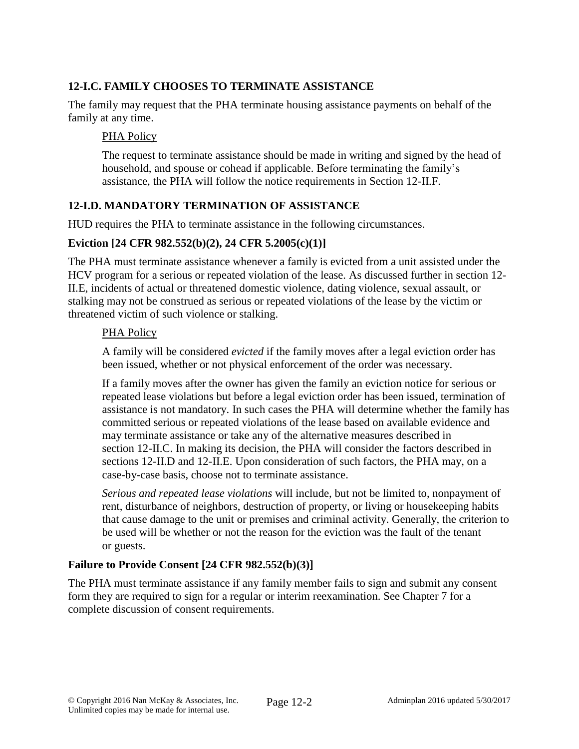## **12-I.C. FAMILY CHOOSES TO TERMINATE ASSISTANCE**

The family may request that the PHA terminate housing assistance payments on behalf of the family at any time.

#### PHA Policy

The request to terminate assistance should be made in writing and signed by the head of household, and spouse or cohead if applicable. Before terminating the family's assistance, the PHA will follow the notice requirements in Section 12-II.F.

### **12-I.D. MANDATORY TERMINATION OF ASSISTANCE**

HUD requires the PHA to terminate assistance in the following circumstances.

#### **Eviction [24 CFR 982.552(b)(2), 24 CFR 5.2005(c)(1)]**

The PHA must terminate assistance whenever a family is evicted from a unit assisted under the HCV program for a serious or repeated violation of the lease. As discussed further in section 12- II.E, incidents of actual or threatened domestic violence, dating violence, sexual assault, or stalking may not be construed as serious or repeated violations of the lease by the victim or threatened victim of such violence or stalking.

#### PHA Policy

A family will be considered *evicted* if the family moves after a legal eviction order has been issued, whether or not physical enforcement of the order was necessary.

If a family moves after the owner has given the family an eviction notice for serious or repeated lease violations but before a legal eviction order has been issued, termination of assistance is not mandatory. In such cases the PHA will determine whether the family has committed serious or repeated violations of the lease based on available evidence and may terminate assistance or take any of the alternative measures described in section 12-II.C. In making its decision, the PHA will consider the factors described in sections 12-II.D and 12-II.E. Upon consideration of such factors, the PHA may, on a case-by-case basis, choose not to terminate assistance.

*Serious and repeated lease violations* will include, but not be limited to, nonpayment of rent, disturbance of neighbors, destruction of property, or living or housekeeping habits that cause damage to the unit or premises and criminal activity. Generally, the criterion to be used will be whether or not the reason for the eviction was the fault of the tenant or guests.

### **Failure to Provide Consent [24 CFR 982.552(b)(3)]**

The PHA must terminate assistance if any family member fails to sign and submit any consent form they are required to sign for a regular or interim reexamination. See Chapter 7 for a complete discussion of consent requirements.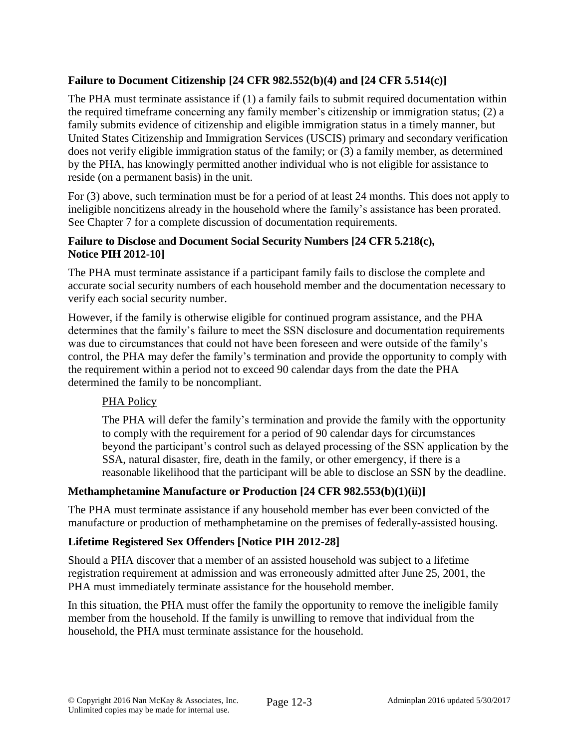## **Failure to Document Citizenship [24 CFR 982.552(b)(4) and [24 CFR 5.514(c)]**

The PHA must terminate assistance if (1) a family fails to submit required documentation within the required timeframe concerning any family member's citizenship or immigration status; (2) a family submits evidence of citizenship and eligible immigration status in a timely manner, but United States Citizenship and Immigration Services (USCIS) primary and secondary verification does not verify eligible immigration status of the family; or (3) a family member, as determined by the PHA, has knowingly permitted another individual who is not eligible for assistance to reside (on a permanent basis) in the unit.

For (3) above, such termination must be for a period of at least 24 months. This does not apply to ineligible noncitizens already in the household where the family's assistance has been prorated. See Chapter 7 for a complete discussion of documentation requirements.

### **Failure to Disclose and Document Social Security Numbers [24 CFR 5.218(c), Notice PIH 2012-10]**

The PHA must terminate assistance if a participant family fails to disclose the complete and accurate social security numbers of each household member and the documentation necessary to verify each social security number.

However, if the family is otherwise eligible for continued program assistance, and the PHA determines that the family's failure to meet the SSN disclosure and documentation requirements was due to circumstances that could not have been foreseen and were outside of the family's control, the PHA may defer the family's termination and provide the opportunity to comply with the requirement within a period not to exceed 90 calendar days from the date the PHA determined the family to be noncompliant.

### PHA Policy

The PHA will defer the family's termination and provide the family with the opportunity to comply with the requirement for a period of 90 calendar days for circumstances beyond the participant's control such as delayed processing of the SSN application by the SSA, natural disaster, fire, death in the family, or other emergency, if there is a reasonable likelihood that the participant will be able to disclose an SSN by the deadline.

### **Methamphetamine Manufacture or Production [24 CFR 982.553(b)(1)(ii)]**

The PHA must terminate assistance if any household member has ever been convicted of the manufacture or production of methamphetamine on the premises of federally-assisted housing.

### **Lifetime Registered Sex Offenders [Notice PIH 2012-28]**

Should a PHA discover that a member of an assisted household was subject to a lifetime registration requirement at admission and was erroneously admitted after June 25, 2001, the PHA must immediately terminate assistance for the household member.

In this situation, the PHA must offer the family the opportunity to remove the ineligible family member from the household. If the family is unwilling to remove that individual from the household, the PHA must terminate assistance for the household.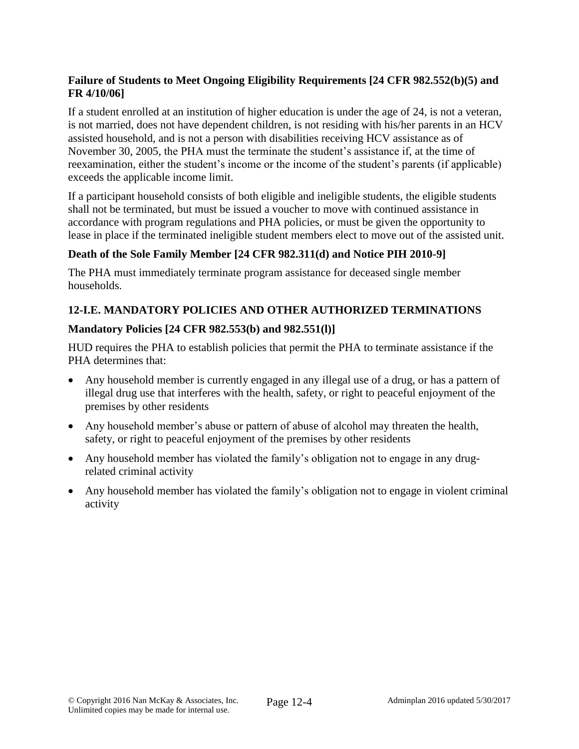## **Failure of Students to Meet Ongoing Eligibility Requirements [24 CFR 982.552(b)(5) and FR 4/10/06]**

If a student enrolled at an institution of higher education is under the age of 24, is not a veteran, is not married, does not have dependent children, is not residing with his/her parents in an HCV assisted household, and is not a person with disabilities receiving HCV assistance as of November 30, 2005, the PHA must the terminate the student's assistance if, at the time of reexamination, either the student's income or the income of the student's parents (if applicable) exceeds the applicable income limit.

If a participant household consists of both eligible and ineligible students, the eligible students shall not be terminated, but must be issued a voucher to move with continued assistance in accordance with program regulations and PHA policies, or must be given the opportunity to lease in place if the terminated ineligible student members elect to move out of the assisted unit.

# **Death of the Sole Family Member [24 CFR 982.311(d) and Notice PIH 2010-9]**

The PHA must immediately terminate program assistance for deceased single member households.

## **12-I.E. MANDATORY POLICIES AND OTHER AUTHORIZED TERMINATIONS**

### **Mandatory Policies [24 CFR 982.553(b) and 982.551(l)]**

HUD requires the PHA to establish policies that permit the PHA to terminate assistance if the PHA determines that:

- Any household member is currently engaged in any illegal use of a drug, or has a pattern of illegal drug use that interferes with the health, safety, or right to peaceful enjoyment of the premises by other residents
- Any household member's abuse or pattern of abuse of alcohol may threaten the health, safety, or right to peaceful enjoyment of the premises by other residents
- Any household member has violated the family's obligation not to engage in any drugrelated criminal activity
- Any household member has violated the family's obligation not to engage in violent criminal activity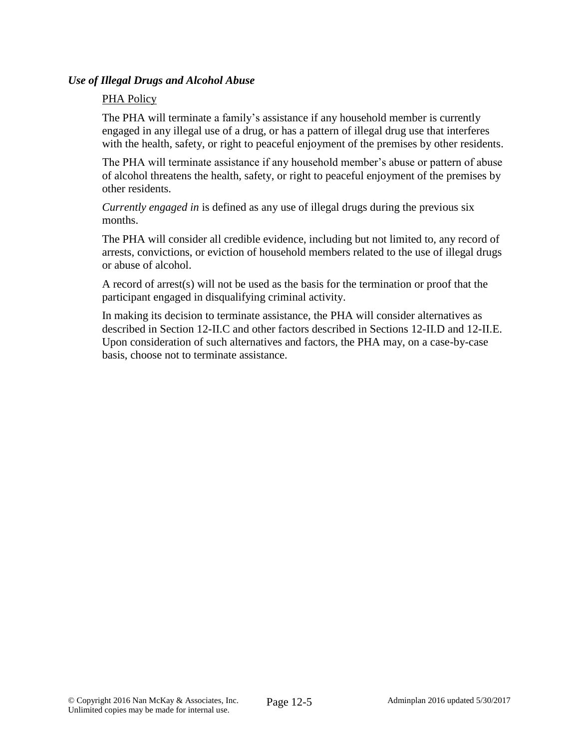#### *Use of Illegal Drugs and Alcohol Abuse*

#### PHA Policy

The PHA will terminate a family's assistance if any household member is currently engaged in any illegal use of a drug, or has a pattern of illegal drug use that interferes with the health, safety, or right to peaceful enjoyment of the premises by other residents.

The PHA will terminate assistance if any household member's abuse or pattern of abuse of alcohol threatens the health, safety, or right to peaceful enjoyment of the premises by other residents.

*Currently engaged in* is defined as any use of illegal drugs during the previous six months.

The PHA will consider all credible evidence, including but not limited to, any record of arrests, convictions, or eviction of household members related to the use of illegal drugs or abuse of alcohol.

A record of arrest(s) will not be used as the basis for the termination or proof that the participant engaged in disqualifying criminal activity.

In making its decision to terminate assistance, the PHA will consider alternatives as described in Section 12-II.C and other factors described in Sections 12-II.D and 12-II.E. Upon consideration of such alternatives and factors, the PHA may, on a case-by-case basis, choose not to terminate assistance.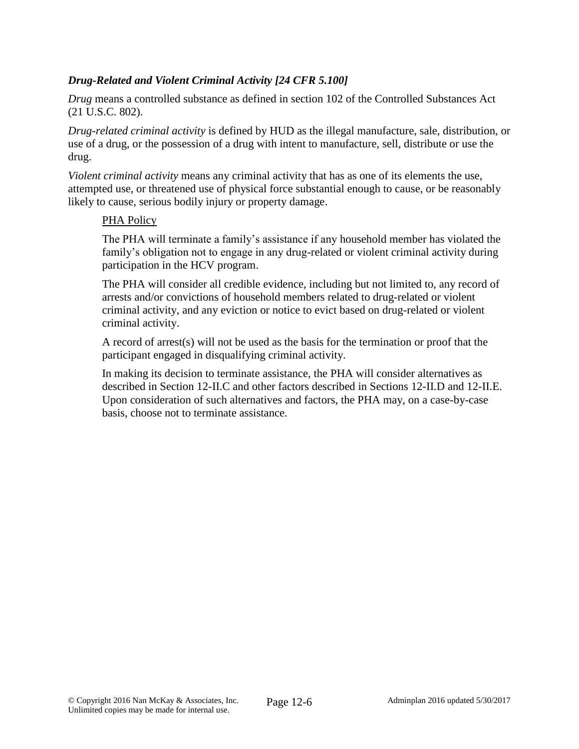## *Drug-Related and Violent Criminal Activity [24 CFR 5.100]*

*Drug* means a controlled substance as defined in section 102 of the Controlled Substances Act (21 U.S.C. 802).

*Drug-related criminal activity* is defined by HUD as the illegal manufacture, sale, distribution, or use of a drug, or the possession of a drug with intent to manufacture, sell, distribute or use the drug.

*Violent criminal activity* means any criminal activity that has as one of its elements the use, attempted use, or threatened use of physical force substantial enough to cause, or be reasonably likely to cause, serious bodily injury or property damage.

#### PHA Policy

The PHA will terminate a family's assistance if any household member has violated the family's obligation not to engage in any drug-related or violent criminal activity during participation in the HCV program.

The PHA will consider all credible evidence, including but not limited to, any record of arrests and/or convictions of household members related to drug-related or violent criminal activity, and any eviction or notice to evict based on drug-related or violent criminal activity.

A record of arrest(s) will not be used as the basis for the termination or proof that the participant engaged in disqualifying criminal activity.

In making its decision to terminate assistance, the PHA will consider alternatives as described in Section 12-II.C and other factors described in Sections 12-II.D and 12-II.E. Upon consideration of such alternatives and factors, the PHA may, on a case-by-case basis, choose not to terminate assistance.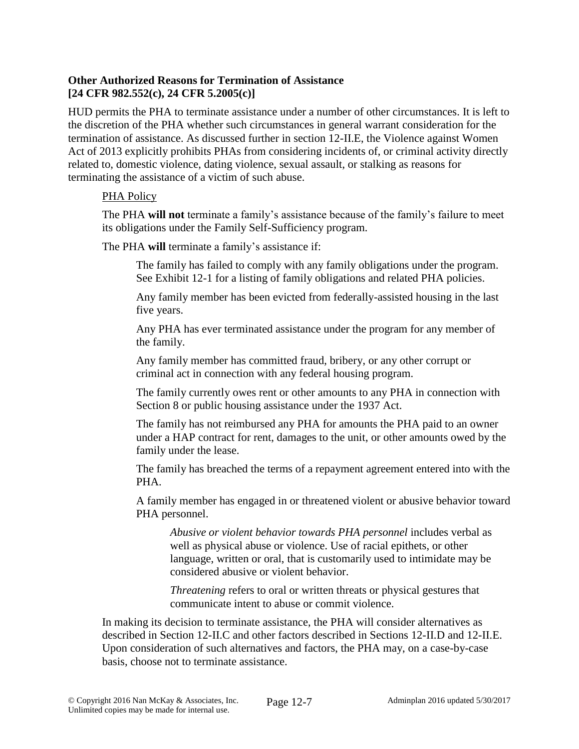### **Other Authorized Reasons for Termination of Assistance [24 CFR 982.552(c), 24 CFR 5.2005(c)]**

HUD permits the PHA to terminate assistance under a number of other circumstances. It is left to the discretion of the PHA whether such circumstances in general warrant consideration for the termination of assistance. As discussed further in section 12-II.E, the Violence against Women Act of 2013 explicitly prohibits PHAs from considering incidents of, or criminal activity directly related to, domestic violence, dating violence, sexual assault, or stalking as reasons for terminating the assistance of a victim of such abuse.

### PHA Policy

The PHA **will not** terminate a family's assistance because of the family's failure to meet its obligations under the Family Self-Sufficiency program.

The PHA **will** terminate a family's assistance if:

The family has failed to comply with any family obligations under the program. See Exhibit 12-1 for a listing of family obligations and related PHA policies.

Any family member has been evicted from federally-assisted housing in the last five years.

Any PHA has ever terminated assistance under the program for any member of the family.

Any family member has committed fraud, bribery, or any other corrupt or criminal act in connection with any federal housing program.

The family currently owes rent or other amounts to any PHA in connection with Section 8 or public housing assistance under the 1937 Act.

The family has not reimbursed any PHA for amounts the PHA paid to an owner under a HAP contract for rent, damages to the unit, or other amounts owed by the family under the lease.

The family has breached the terms of a repayment agreement entered into with the PHA.

A family member has engaged in or threatened violent or abusive behavior toward PHA personnel.

*Abusive or violent behavior towards PHA personnel* includes verbal as well as physical abuse or violence. Use of racial epithets, or other language, written or oral, that is customarily used to intimidate may be considered abusive or violent behavior.

*Threatening* refers to oral or written threats or physical gestures that communicate intent to abuse or commit violence.

In making its decision to terminate assistance, the PHA will consider alternatives as described in Section 12-II.C and other factors described in Sections 12-II.D and 12-II.E. Upon consideration of such alternatives and factors, the PHA may, on a case-by-case basis, choose not to terminate assistance.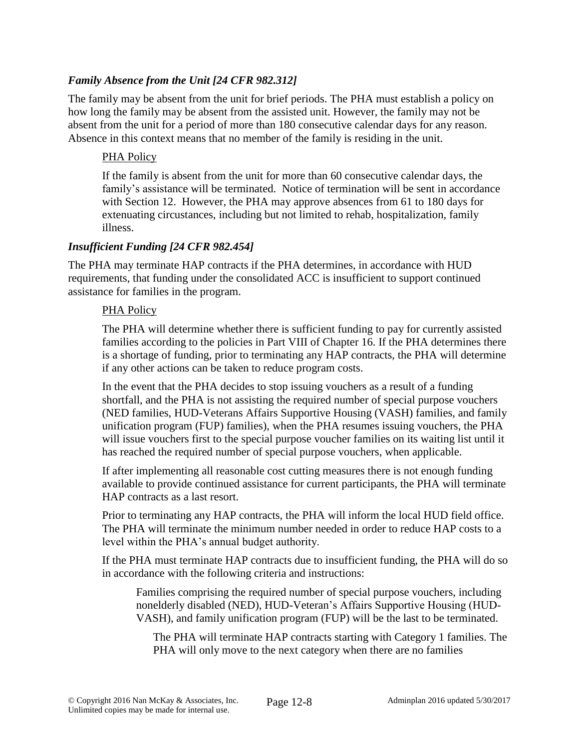### *Family Absence from the Unit [24 CFR 982.312]*

The family may be absent from the unit for brief periods. The PHA must establish a policy on how long the family may be absent from the assisted unit. However, the family may not be absent from the unit for a period of more than 180 consecutive calendar days for any reason. Absence in this context means that no member of the family is residing in the unit.

#### PHA Policy

If the family is absent from the unit for more than 60 consecutive calendar days, the family's assistance will be terminated. Notice of termination will be sent in accordance with Section 12. However, the PHA may approve absences from 61 to 180 days for extenuating circustances, including but not limited to rehab, hospitalization, family illness.

### *Insufficient Funding [24 CFR 982.454]*

The PHA may terminate HAP contracts if the PHA determines, in accordance with HUD requirements, that funding under the consolidated ACC is insufficient to support continued assistance for families in the program.

#### PHA Policy

The PHA will determine whether there is sufficient funding to pay for currently assisted families according to the policies in Part VIII of Chapter 16. If the PHA determines there is a shortage of funding, prior to terminating any HAP contracts, the PHA will determine if any other actions can be taken to reduce program costs.

In the event that the PHA decides to stop issuing vouchers as a result of a funding shortfall, and the PHA is not assisting the required number of special purpose vouchers (NED families, HUD-Veterans Affairs Supportive Housing (VASH) families, and family unification program (FUP) families), when the PHA resumes issuing vouchers, the PHA will issue vouchers first to the special purpose voucher families on its waiting list until it has reached the required number of special purpose vouchers, when applicable.

If after implementing all reasonable cost cutting measures there is not enough funding available to provide continued assistance for current participants, the PHA will terminate HAP contracts as a last resort.

Prior to terminating any HAP contracts, the PHA will inform the local HUD field office. The PHA will terminate the minimum number needed in order to reduce HAP costs to a level within the PHA's annual budget authority.

If the PHA must terminate HAP contracts due to insufficient funding, the PHA will do so in accordance with the following criteria and instructions:

Families comprising the required number of special purpose vouchers, including nonelderly disabled (NED), HUD-Veteran's Affairs Supportive Housing (HUD-VASH), and family unification program (FUP) will be the last to be terminated.

The PHA will terminate HAP contracts starting with Category 1 families. The PHA will only move to the next category when there are no families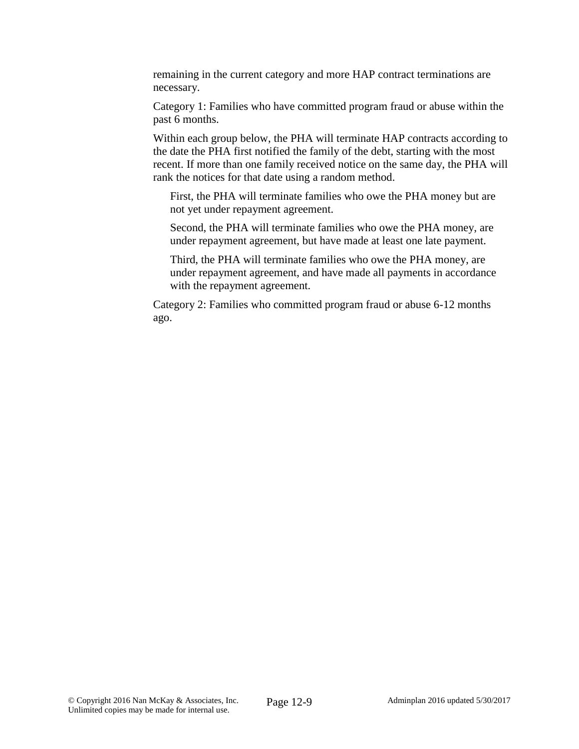remaining in the current category and more HAP contract terminations are necessary.

Category 1: Families who have committed program fraud or abuse within the past 6 months.

Within each group below, the PHA will terminate HAP contracts according to the date the PHA first notified the family of the debt, starting with the most recent. If more than one family received notice on the same day, the PHA will rank the notices for that date using a random method.

First, the PHA will terminate families who owe the PHA money but are not yet under repayment agreement.

Second, the PHA will terminate families who owe the PHA money, are under repayment agreement, but have made at least one late payment.

Third, the PHA will terminate families who owe the PHA money, are under repayment agreement, and have made all payments in accordance with the repayment agreement.

Category 2: Families who committed program fraud or abuse 6-12 months ago.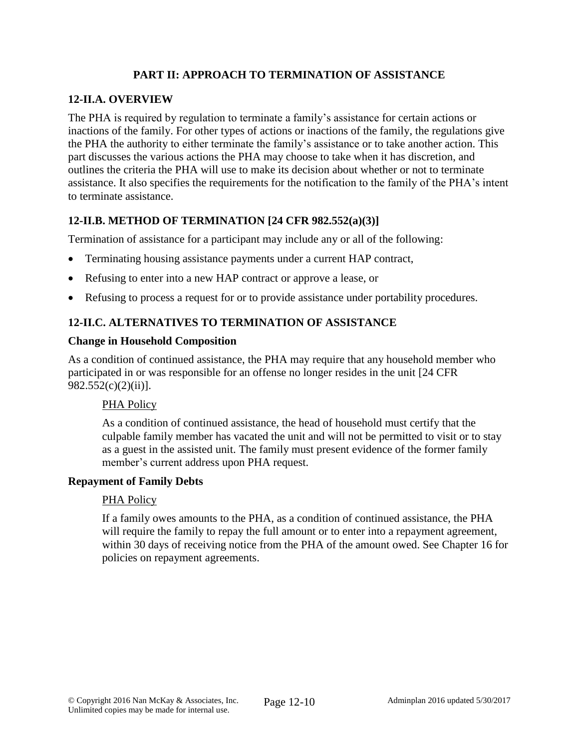## **PART II: APPROACH TO TERMINATION OF ASSISTANCE**

## **12-II.A. OVERVIEW**

The PHA is required by regulation to terminate a family's assistance for certain actions or inactions of the family. For other types of actions or inactions of the family, the regulations give the PHA the authority to either terminate the family's assistance or to take another action. This part discusses the various actions the PHA may choose to take when it has discretion, and outlines the criteria the PHA will use to make its decision about whether or not to terminate assistance. It also specifies the requirements for the notification to the family of the PHA's intent to terminate assistance.

## **12-II.B. METHOD OF TERMINATION [24 CFR 982.552(a)(3)]**

Termination of assistance for a participant may include any or all of the following:

- Terminating housing assistance payments under a current HAP contract,
- Refusing to enter into a new HAP contract or approve a lease, or
- Refusing to process a request for or to provide assistance under portability procedures.

## **12-II.C. ALTERNATIVES TO TERMINATION OF ASSISTANCE**

#### **Change in Household Composition**

As a condition of continued assistance, the PHA may require that any household member who participated in or was responsible for an offense no longer resides in the unit [24 CFR  $982.552(c)(2)(ii)$ ].

#### PHA Policy

As a condition of continued assistance, the head of household must certify that the culpable family member has vacated the unit and will not be permitted to visit or to stay as a guest in the assisted unit. The family must present evidence of the former family member's current address upon PHA request.

#### **Repayment of Family Debts**

#### PHA Policy

If a family owes amounts to the PHA, as a condition of continued assistance, the PHA will require the family to repay the full amount or to enter into a repayment agreement, within 30 days of receiving notice from the PHA of the amount owed. See Chapter 16 for policies on repayment agreements.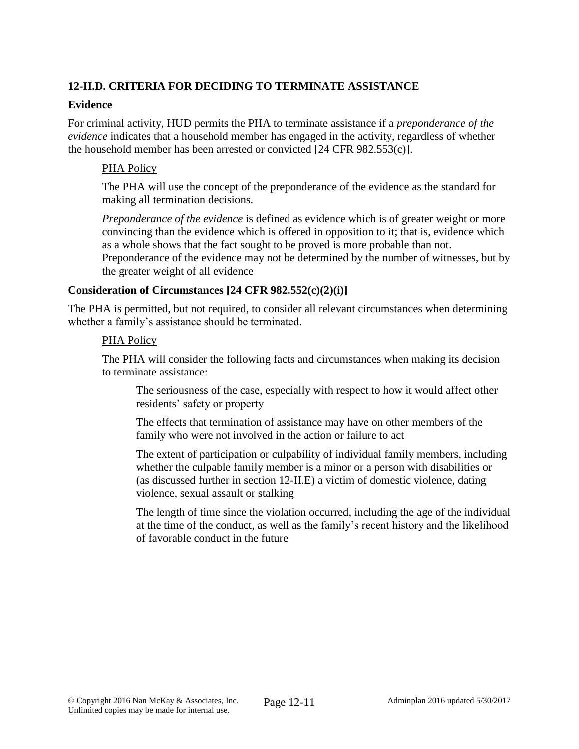# **12-II.D. CRITERIA FOR DECIDING TO TERMINATE ASSISTANCE**

#### **Evidence**

For criminal activity, HUD permits the PHA to terminate assistance if a *preponderance of the evidence* indicates that a household member has engaged in the activity, regardless of whether the household member has been arrested or convicted [24 CFR 982.553(c)].

#### PHA Policy

The PHA will use the concept of the preponderance of the evidence as the standard for making all termination decisions.

*Preponderance of the evidence* is defined as evidence which is of greater weight or more convincing than the evidence which is offered in opposition to it; that is, evidence which as a whole shows that the fact sought to be proved is more probable than not.

Preponderance of the evidence may not be determined by the number of witnesses, but by the greater weight of all evidence

#### **Consideration of Circumstances [24 CFR 982.552(c)(2)(i)]**

The PHA is permitted, but not required, to consider all relevant circumstances when determining whether a family's assistance should be terminated.

#### PHA Policy

The PHA will consider the following facts and circumstances when making its decision to terminate assistance:

The seriousness of the case, especially with respect to how it would affect other residents' safety or property

The effects that termination of assistance may have on other members of the family who were not involved in the action or failure to act

The extent of participation or culpability of individual family members, including whether the culpable family member is a minor or a person with disabilities or (as discussed further in section 12-II.E) a victim of domestic violence, dating violence, sexual assault or stalking

The length of time since the violation occurred, including the age of the individual at the time of the conduct, as well as the family's recent history and the likelihood of favorable conduct in the future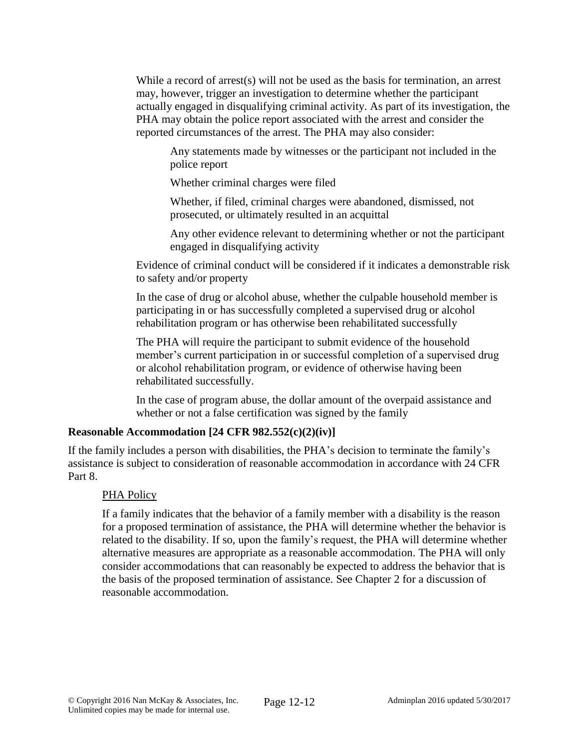While a record of arrest(s) will not be used as the basis for termination, an arrest may, however, trigger an investigation to determine whether the participant actually engaged in disqualifying criminal activity. As part of its investigation, the PHA may obtain the police report associated with the arrest and consider the reported circumstances of the arrest. The PHA may also consider:

Any statements made by witnesses or the participant not included in the police report

Whether criminal charges were filed

Whether, if filed, criminal charges were abandoned, dismissed, not prosecuted, or ultimately resulted in an acquittal

Any other evidence relevant to determining whether or not the participant engaged in disqualifying activity

Evidence of criminal conduct will be considered if it indicates a demonstrable risk to safety and/or property

In the case of drug or alcohol abuse, whether the culpable household member is participating in or has successfully completed a supervised drug or alcohol rehabilitation program or has otherwise been rehabilitated successfully

The PHA will require the participant to submit evidence of the household member's current participation in or successful completion of a supervised drug or alcohol rehabilitation program, or evidence of otherwise having been rehabilitated successfully.

In the case of program abuse, the dollar amount of the overpaid assistance and whether or not a false certification was signed by the family

### **Reasonable Accommodation [24 CFR 982.552(c)(2)(iv)]**

If the family includes a person with disabilities, the PHA's decision to terminate the family's assistance is subject to consideration of reasonable accommodation in accordance with 24 CFR Part 8.

### PHA Policy

If a family indicates that the behavior of a family member with a disability is the reason for a proposed termination of assistance, the PHA will determine whether the behavior is related to the disability. If so, upon the family's request, the PHA will determine whether alternative measures are appropriate as a reasonable accommodation. The PHA will only consider accommodations that can reasonably be expected to address the behavior that is the basis of the proposed termination of assistance. See Chapter 2 for a discussion of reasonable accommodation.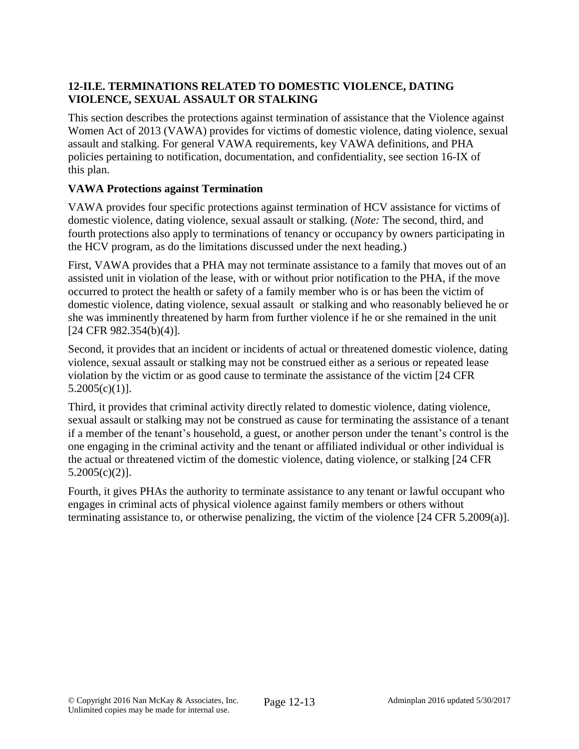## **12-II.E. TERMINATIONS RELATED TO DOMESTIC VIOLENCE, DATING VIOLENCE, SEXUAL ASSAULT OR STALKING**

This section describes the protections against termination of assistance that the Violence against Women Act of 2013 (VAWA) provides for victims of domestic violence, dating violence, sexual assault and stalking. For general VAWA requirements, key VAWA definitions, and PHA policies pertaining to notification, documentation, and confidentiality, see section 16-IX of this plan.

## **VAWA Protections against Termination**

VAWA provides four specific protections against termination of HCV assistance for victims of domestic violence, dating violence, sexual assault or stalking. (*Note:* The second, third, and fourth protections also apply to terminations of tenancy or occupancy by owners participating in the HCV program, as do the limitations discussed under the next heading.)

First, VAWA provides that a PHA may not terminate assistance to a family that moves out of an assisted unit in violation of the lease, with or without prior notification to the PHA, if the move occurred to protect the health or safety of a family member who is or has been the victim of domestic violence, dating violence, sexual assault or stalking and who reasonably believed he or she was imminently threatened by harm from further violence if he or she remained in the unit [24 CFR 982.354(b)(4)].

Second, it provides that an incident or incidents of actual or threatened domestic violence, dating violence, sexual assault or stalking may not be construed either as a serious or repeated lease violation by the victim or as good cause to terminate the assistance of the victim [24 CFR 5.2005(c)(1)].

Third, it provides that criminal activity directly related to domestic violence, dating violence, sexual assault or stalking may not be construed as cause for terminating the assistance of a tenant if a member of the tenant's household, a guest, or another person under the tenant's control is the one engaging in the criminal activity and the tenant or affiliated individual or other individual is the actual or threatened victim of the domestic violence, dating violence, or stalking [24 CFR 5.2005(c)(2)].

Fourth, it gives PHAs the authority to terminate assistance to any tenant or lawful occupant who engages in criminal acts of physical violence against family members or others without terminating assistance to, or otherwise penalizing, the victim of the violence [24 CFR 5.2009(a)].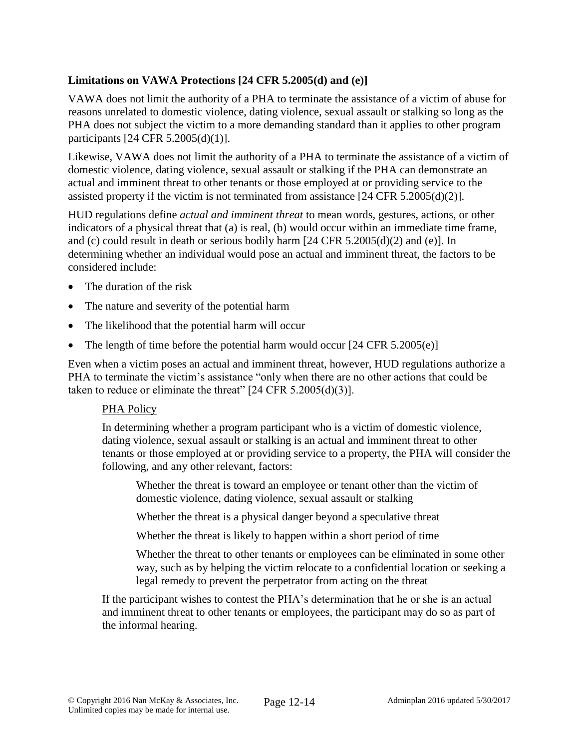### **Limitations on VAWA Protections [24 CFR 5.2005(d) and (e)]**

VAWA does not limit the authority of a PHA to terminate the assistance of a victim of abuse for reasons unrelated to domestic violence, dating violence, sexual assault or stalking so long as the PHA does not subject the victim to a more demanding standard than it applies to other program participants [24 CFR 5.2005(d)(1)].

Likewise, VAWA does not limit the authority of a PHA to terminate the assistance of a victim of domestic violence, dating violence, sexual assault or stalking if the PHA can demonstrate an actual and imminent threat to other tenants or those employed at or providing service to the assisted property if the victim is not terminated from assistance  $[24 \text{ CFR } 5.2005 \text{ (d)}(2)]$ .

HUD regulations define *actual and imminent threat* to mean words, gestures, actions, or other indicators of a physical threat that (a) is real, (b) would occur within an immediate time frame, and (c) could result in death or serious bodily harm [24 CFR 5.2005(d)(2) and (e)]. In determining whether an individual would pose an actual and imminent threat, the factors to be considered include:

- The duration of the risk
- The nature and severity of the potential harm
- The likelihood that the potential harm will occur
- The length of time before the potential harm would occur  $[24 \text{ CFR } 5.2005(e)]$

Even when a victim poses an actual and imminent threat, however, HUD regulations authorize a PHA to terminate the victim's assistance "only when there are no other actions that could be taken to reduce or eliminate the threat"  $[24 \text{ CFR } 5.2005 \text{ (d)}(3)]$ .

### PHA Policy

In determining whether a program participant who is a victim of domestic violence, dating violence, sexual assault or stalking is an actual and imminent threat to other tenants or those employed at or providing service to a property, the PHA will consider the following, and any other relevant, factors:

Whether the threat is toward an employee or tenant other than the victim of domestic violence, dating violence, sexual assault or stalking

Whether the threat is a physical danger beyond a speculative threat

Whether the threat is likely to happen within a short period of time

Whether the threat to other tenants or employees can be eliminated in some other way, such as by helping the victim relocate to a confidential location or seeking a legal remedy to prevent the perpetrator from acting on the threat

If the participant wishes to contest the PHA's determination that he or she is an actual and imminent threat to other tenants or employees, the participant may do so as part of the informal hearing.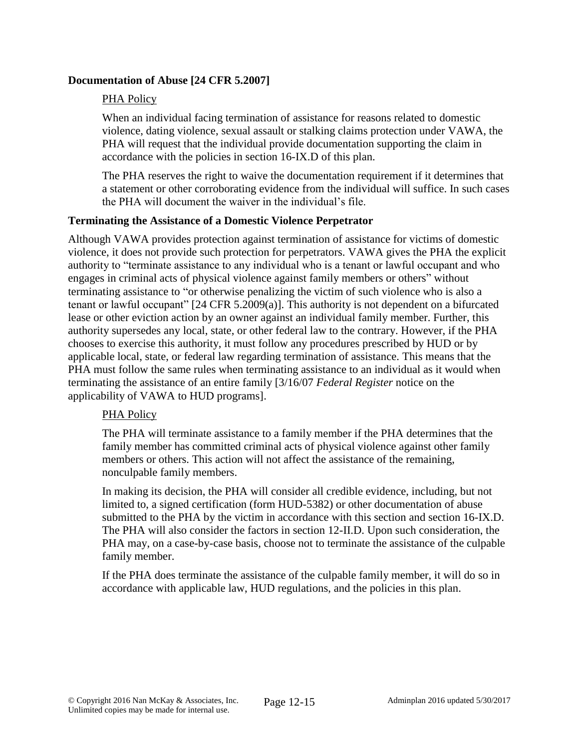### **Documentation of Abuse [24 CFR 5.2007]**

### PHA Policy

When an individual facing termination of assistance for reasons related to domestic violence, dating violence, sexual assault or stalking claims protection under VAWA, the PHA will request that the individual provide documentation supporting the claim in accordance with the policies in section 16-IX.D of this plan.

The PHA reserves the right to waive the documentation requirement if it determines that a statement or other corroborating evidence from the individual will suffice. In such cases the PHA will document the waiver in the individual's file.

## **Terminating the Assistance of a Domestic Violence Perpetrator**

Although VAWA provides protection against termination of assistance for victims of domestic violence, it does not provide such protection for perpetrators. VAWA gives the PHA the explicit authority to "terminate assistance to any individual who is a tenant or lawful occupant and who engages in criminal acts of physical violence against family members or others" without terminating assistance to "or otherwise penalizing the victim of such violence who is also a tenant or lawful occupant" [24 CFR 5.2009(a)]. This authority is not dependent on a bifurcated lease or other eviction action by an owner against an individual family member. Further, this authority supersedes any local, state, or other federal law to the contrary. However, if the PHA chooses to exercise this authority, it must follow any procedures prescribed by HUD or by applicable local, state, or federal law regarding termination of assistance. This means that the PHA must follow the same rules when terminating assistance to an individual as it would when terminating the assistance of an entire family [3/16/07 *Federal Register* notice on the applicability of VAWA to HUD programs].

### PHA Policy

The PHA will terminate assistance to a family member if the PHA determines that the family member has committed criminal acts of physical violence against other family members or others. This action will not affect the assistance of the remaining, nonculpable family members.

In making its decision, the PHA will consider all credible evidence, including, but not limited to, a signed certification (form HUD-5382) or other documentation of abuse submitted to the PHA by the victim in accordance with this section and section 16-IX.D. The PHA will also consider the factors in section 12-II.D. Upon such consideration, the PHA may, on a case-by-case basis, choose not to terminate the assistance of the culpable family member.

If the PHA does terminate the assistance of the culpable family member, it will do so in accordance with applicable law, HUD regulations, and the policies in this plan.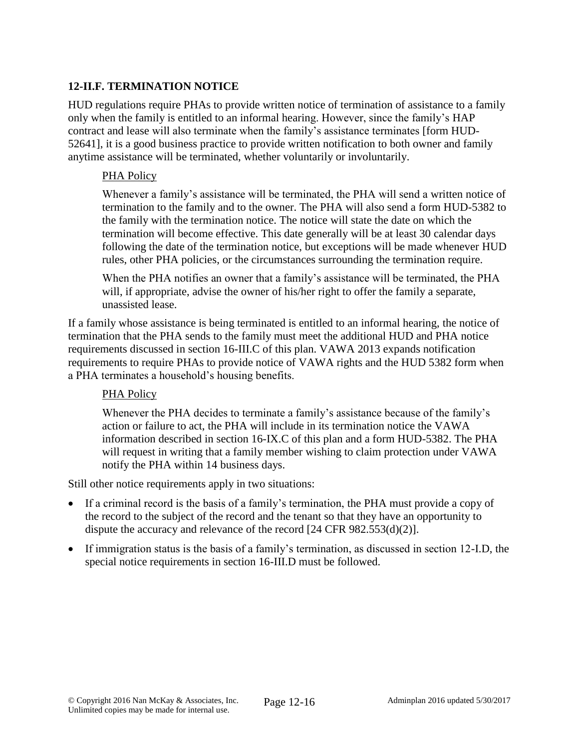## **12-II.F. TERMINATION NOTICE**

HUD regulations require PHAs to provide written notice of termination of assistance to a family only when the family is entitled to an informal hearing. However, since the family's HAP contract and lease will also terminate when the family's assistance terminates [form HUD-52641], it is a good business practice to provide written notification to both owner and family anytime assistance will be terminated, whether voluntarily or involuntarily.

#### PHA Policy

Whenever a family's assistance will be terminated, the PHA will send a written notice of termination to the family and to the owner. The PHA will also send a form HUD-5382 to the family with the termination notice. The notice will state the date on which the termination will become effective. This date generally will be at least 30 calendar days following the date of the termination notice, but exceptions will be made whenever HUD rules, other PHA policies, or the circumstances surrounding the termination require.

When the PHA notifies an owner that a family's assistance will be terminated, the PHA will, if appropriate, advise the owner of his/her right to offer the family a separate, unassisted lease.

If a family whose assistance is being terminated is entitled to an informal hearing, the notice of termination that the PHA sends to the family must meet the additional HUD and PHA notice requirements discussed in section 16-III.C of this plan. VAWA 2013 expands notification requirements to require PHAs to provide notice of VAWA rights and the HUD 5382 form when a PHA terminates a household's housing benefits.

### PHA Policy

Whenever the PHA decides to terminate a family's assistance because of the family's action or failure to act, the PHA will include in its termination notice the VAWA information described in section 16-IX.C of this plan and a form HUD-5382. The PHA will request in writing that a family member wishing to claim protection under VAWA notify the PHA within 14 business days.

Still other notice requirements apply in two situations:

- If a criminal record is the basis of a family's termination, the PHA must provide a copy of the record to the subject of the record and the tenant so that they have an opportunity to dispute the accuracy and relevance of the record [24 CFR 982.553(d)(2)].
- If immigration status is the basis of a family's termination, as discussed in section 12-I.D, the special notice requirements in section 16-III.D must be followed.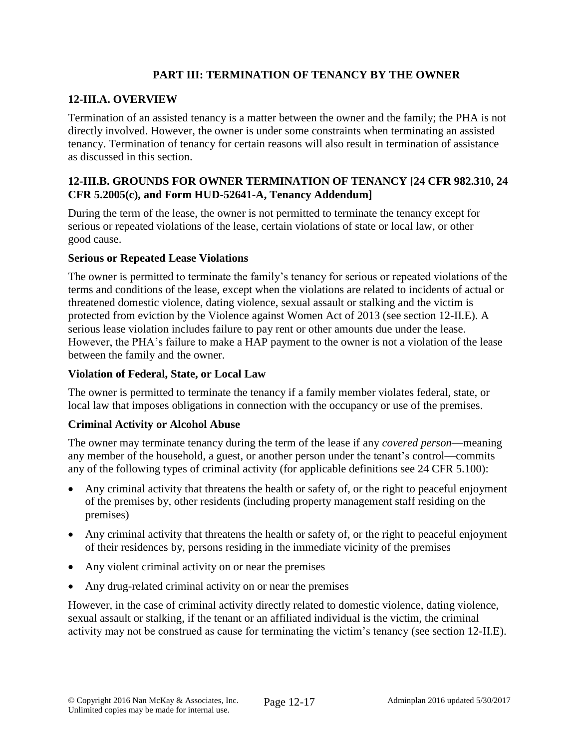### **PART III: TERMINATION OF TENANCY BY THE OWNER**

## **12-III.A. OVERVIEW**

Termination of an assisted tenancy is a matter between the owner and the family; the PHA is not directly involved. However, the owner is under some constraints when terminating an assisted tenancy. Termination of tenancy for certain reasons will also result in termination of assistance as discussed in this section.

## **12-III.B. GROUNDS FOR OWNER TERMINATION OF TENANCY [24 CFR 982.310, 24 CFR 5.2005(c), and Form HUD-52641-A, Tenancy Addendum]**

During the term of the lease, the owner is not permitted to terminate the tenancy except for serious or repeated violations of the lease, certain violations of state or local law, or other good cause.

#### **Serious or Repeated Lease Violations**

The owner is permitted to terminate the family's tenancy for serious or repeated violations of the terms and conditions of the lease, except when the violations are related to incidents of actual or threatened domestic violence, dating violence, sexual assault or stalking and the victim is protected from eviction by the Violence against Women Act of 2013 (see section 12-II.E). A serious lease violation includes failure to pay rent or other amounts due under the lease. However, the PHA's failure to make a HAP payment to the owner is not a violation of the lease between the family and the owner.

#### **Violation of Federal, State, or Local Law**

The owner is permitted to terminate the tenancy if a family member violates federal, state, or local law that imposes obligations in connection with the occupancy or use of the premises.

### **Criminal Activity or Alcohol Abuse**

The owner may terminate tenancy during the term of the lease if any *covered person*—meaning any member of the household, a guest, or another person under the tenant's control—commits any of the following types of criminal activity (for applicable definitions see 24 CFR 5.100):

- Any criminal activity that threatens the health or safety of, or the right to peaceful enjoyment of the premises by, other residents (including property management staff residing on the premises)
- Any criminal activity that threatens the health or safety of, or the right to peaceful enjoyment of their residences by, persons residing in the immediate vicinity of the premises
- Any violent criminal activity on or near the premises
- Any drug-related criminal activity on or near the premises

However, in the case of criminal activity directly related to domestic violence, dating violence, sexual assault or stalking, if the tenant or an affiliated individual is the victim, the criminal activity may not be construed as cause for terminating the victim's tenancy (see section 12-II.E).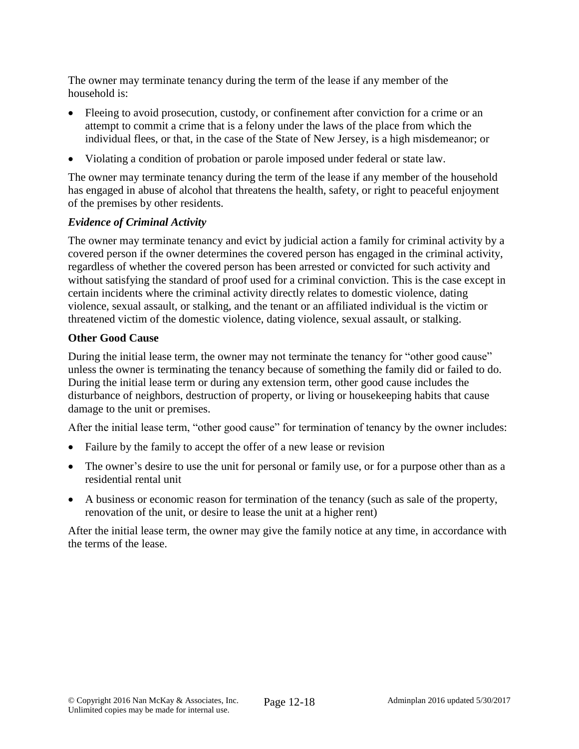The owner may terminate tenancy during the term of the lease if any member of the household is:

- Fleeing to avoid prosecution, custody, or confinement after conviction for a crime or an attempt to commit a crime that is a felony under the laws of the place from which the individual flees, or that, in the case of the State of New Jersey, is a high misdemeanor; or
- Violating a condition of probation or parole imposed under federal or state law.

The owner may terminate tenancy during the term of the lease if any member of the household has engaged in abuse of alcohol that threatens the health, safety, or right to peaceful enjoyment of the premises by other residents.

## *Evidence of Criminal Activity*

The owner may terminate tenancy and evict by judicial action a family for criminal activity by a covered person if the owner determines the covered person has engaged in the criminal activity, regardless of whether the covered person has been arrested or convicted for such activity and without satisfying the standard of proof used for a criminal conviction. This is the case except in certain incidents where the criminal activity directly relates to domestic violence, dating violence, sexual assault, or stalking, and the tenant or an affiliated individual is the victim or threatened victim of the domestic violence, dating violence, sexual assault, or stalking.

### **Other Good Cause**

During the initial lease term, the owner may not terminate the tenancy for "other good cause" unless the owner is terminating the tenancy because of something the family did or failed to do. During the initial lease term or during any extension term, other good cause includes the disturbance of neighbors, destruction of property, or living or housekeeping habits that cause damage to the unit or premises.

After the initial lease term, "other good cause" for termination of tenancy by the owner includes:

- Failure by the family to accept the offer of a new lease or revision
- The owner's desire to use the unit for personal or family use, or for a purpose other than as a residential rental unit
- A business or economic reason for termination of the tenancy (such as sale of the property, renovation of the unit, or desire to lease the unit at a higher rent)

After the initial lease term, the owner may give the family notice at any time, in accordance with the terms of the lease.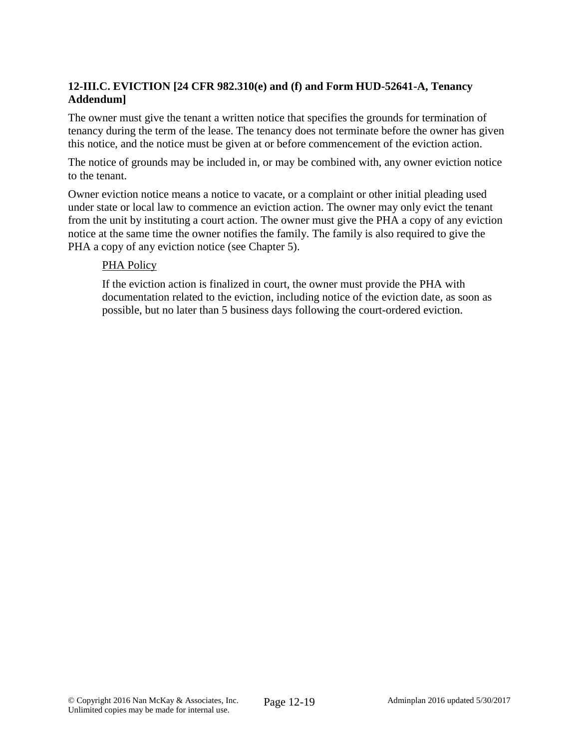## **12-III.C. EVICTION [24 CFR 982.310(e) and (f) and Form HUD-52641-A, Tenancy Addendum]**

The owner must give the tenant a written notice that specifies the grounds for termination of tenancy during the term of the lease. The tenancy does not terminate before the owner has given this notice, and the notice must be given at or before commencement of the eviction action.

The notice of grounds may be included in, or may be combined with, any owner eviction notice to the tenant.

Owner eviction notice means a notice to vacate, or a complaint or other initial pleading used under state or local law to commence an eviction action. The owner may only evict the tenant from the unit by instituting a court action. The owner must give the PHA a copy of any eviction notice at the same time the owner notifies the family. The family is also required to give the PHA a copy of any eviction notice (see Chapter 5).

#### PHA Policy

If the eviction action is finalized in court, the owner must provide the PHA with documentation related to the eviction, including notice of the eviction date, as soon as possible, but no later than 5 business days following the court-ordered eviction.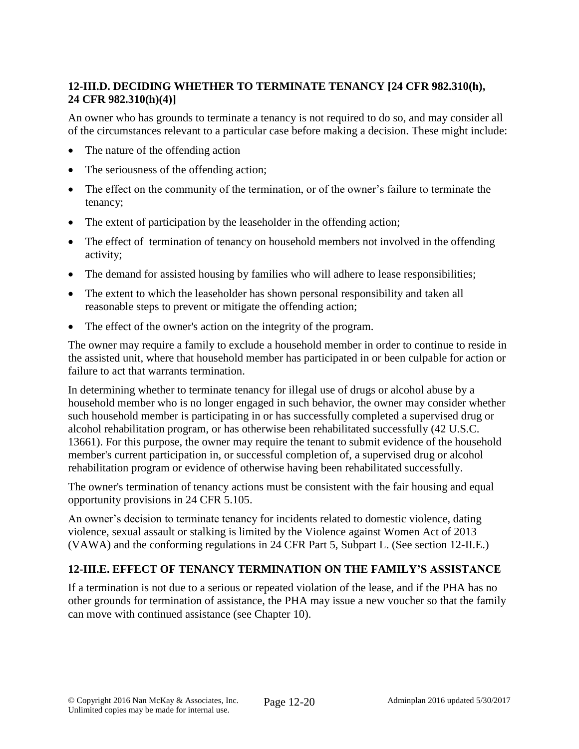# **12-III.D. DECIDING WHETHER TO TERMINATE TENANCY [24 CFR 982.310(h), 24 CFR 982.310(h)(4)]**

An owner who has grounds to terminate a tenancy is not required to do so, and may consider all of the circumstances relevant to a particular case before making a decision. These might include:

- The nature of the offending action
- The seriousness of the offending action;
- The effect on the community of the termination, or of the owner's failure to terminate the tenancy;
- The extent of participation by the leaseholder in the offending action;
- The effect of termination of tenancy on household members not involved in the offending activity;
- The demand for assisted housing by families who will adhere to lease responsibilities;
- The extent to which the leaseholder has shown personal responsibility and taken all reasonable steps to prevent or mitigate the offending action;
- The effect of the owner's action on the integrity of the program.

The owner may require a family to exclude a household member in order to continue to reside in the assisted unit, where that household member has participated in or been culpable for action or failure to act that warrants termination.

In determining whether to terminate tenancy for illegal use of drugs or alcohol abuse by a household member who is no longer engaged in such behavior, the owner may consider whether such household member is participating in or has successfully completed a supervised drug or alcohol rehabilitation program, or has otherwise been rehabilitated successfully (42 U.S.C. 13661). For this purpose, the owner may require the tenant to submit evidence of the household member's current participation in, or successful completion of, a supervised drug or alcohol rehabilitation program or evidence of otherwise having been rehabilitated successfully.

The owner's termination of tenancy actions must be consistent with the fair housing and equal opportunity provisions in 24 CFR 5.105.

An owner's decision to terminate tenancy for incidents related to domestic violence, dating violence, sexual assault or stalking is limited by the Violence against Women Act of 2013 (VAWA) and the conforming regulations in 24 CFR Part 5, Subpart L. (See section 12-II.E.)

# **12-III.E. EFFECT OF TENANCY TERMINATION ON THE FAMILY'S ASSISTANCE**

If a termination is not due to a serious or repeated violation of the lease, and if the PHA has no other grounds for termination of assistance, the PHA may issue a new voucher so that the family can move with continued assistance (see Chapter 10).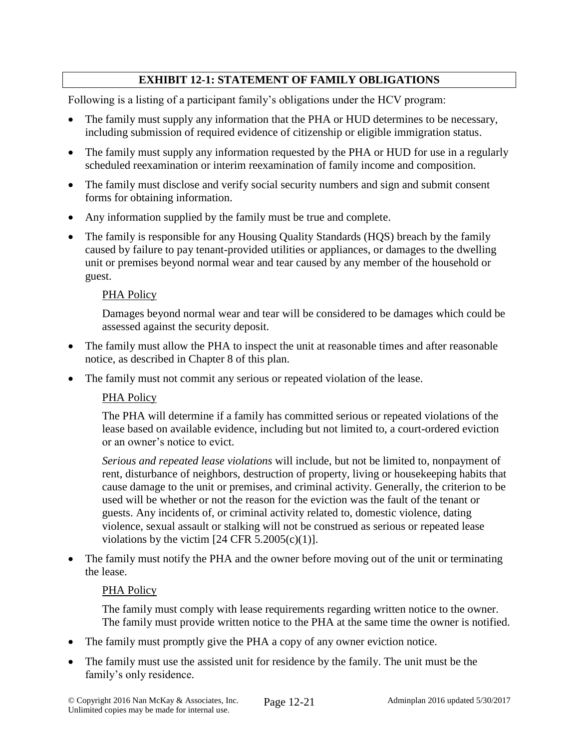# **EXHIBIT 12-1: STATEMENT OF FAMILY OBLIGATIONS**

Following is a listing of a participant family's obligations under the HCV program:

- The family must supply any information that the PHA or HUD determines to be necessary, including submission of required evidence of citizenship or eligible immigration status.
- The family must supply any information requested by the PHA or HUD for use in a regularly scheduled reexamination or interim reexamination of family income and composition.
- The family must disclose and verify social security numbers and sign and submit consent forms for obtaining information.
- Any information supplied by the family must be true and complete.
- The family is responsible for any Housing Quality Standards (HQS) breach by the family caused by failure to pay tenant-provided utilities or appliances, or damages to the dwelling unit or premises beyond normal wear and tear caused by any member of the household or guest.

#### PHA Policy

Damages beyond normal wear and tear will be considered to be damages which could be assessed against the security deposit.

- The family must allow the PHA to inspect the unit at reasonable times and after reasonable notice, as described in Chapter 8 of this plan.
- The family must not commit any serious or repeated violation of the lease.

### PHA Policy

The PHA will determine if a family has committed serious or repeated violations of the lease based on available evidence, including but not limited to, a court-ordered eviction or an owner's notice to evict.

*Serious and repeated lease violations* will include, but not be limited to, nonpayment of rent, disturbance of neighbors, destruction of property, living or housekeeping habits that cause damage to the unit or premises, and criminal activity. Generally, the criterion to be used will be whether or not the reason for the eviction was the fault of the tenant or guests. Any incidents of, or criminal activity related to, domestic violence, dating violence, sexual assault or stalking will not be construed as serious or repeated lease violations by the victim  $[24 \text{ CFR } 5.2005(c)(1)].$ 

 The family must notify the PHA and the owner before moving out of the unit or terminating the lease.

#### PHA Policy

The family must comply with lease requirements regarding written notice to the owner. The family must provide written notice to the PHA at the same time the owner is notified.

- The family must promptly give the PHA a copy of any owner eviction notice.
- The family must use the assisted unit for residence by the family. The unit must be the family's only residence.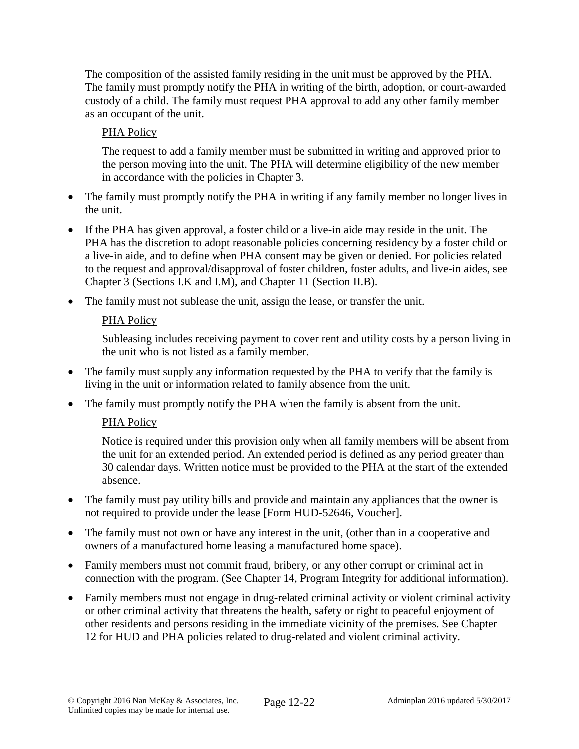The composition of the assisted family residing in the unit must be approved by the PHA. The family must promptly notify the PHA in writing of the birth, adoption, or court-awarded custody of a child. The family must request PHA approval to add any other family member as an occupant of the unit.

# PHA Policy

The request to add a family member must be submitted in writing and approved prior to the person moving into the unit. The PHA will determine eligibility of the new member in accordance with the policies in Chapter 3.

- The family must promptly notify the PHA in writing if any family member no longer lives in the unit.
- If the PHA has given approval, a foster child or a live-in aide may reside in the unit. The PHA has the discretion to adopt reasonable policies concerning residency by a foster child or a live-in aide, and to define when PHA consent may be given or denied. For policies related to the request and approval/disapproval of foster children, foster adults, and live-in aides, see Chapter 3 (Sections I.K and I.M), and Chapter 11 (Section II.B).
- The family must not sublease the unit, assign the lease, or transfer the unit.

# PHA Policy

Subleasing includes receiving payment to cover rent and utility costs by a person living in the unit who is not listed as a family member.

- The family must supply any information requested by the PHA to verify that the family is living in the unit or information related to family absence from the unit.
- The family must promptly notify the PHA when the family is absent from the unit.

# PHA Policy

Notice is required under this provision only when all family members will be absent from the unit for an extended period. An extended period is defined as any period greater than 30 calendar days. Written notice must be provided to the PHA at the start of the extended absence.

- The family must pay utility bills and provide and maintain any appliances that the owner is not required to provide under the lease [Form HUD-52646, Voucher].
- The family must not own or have any interest in the unit, (other than in a cooperative and owners of a manufactured home leasing a manufactured home space).
- Family members must not commit fraud, bribery, or any other corrupt or criminal act in connection with the program. (See Chapter 14, Program Integrity for additional information).
- Family members must not engage in drug-related criminal activity or violent criminal activity or other criminal activity that threatens the health, safety or right to peaceful enjoyment of other residents and persons residing in the immediate vicinity of the premises. See Chapter 12 for HUD and PHA policies related to drug-related and violent criminal activity.